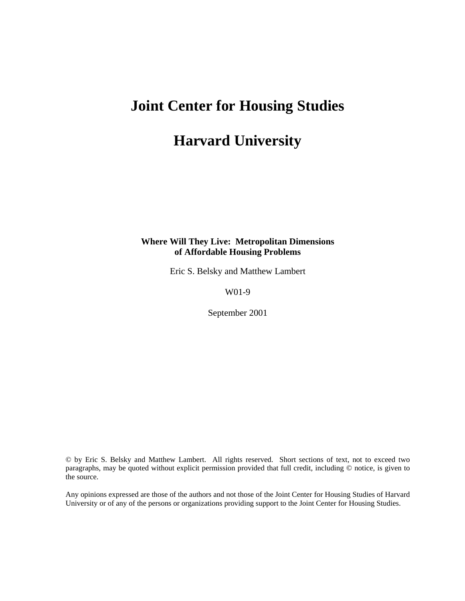# **Joint Center for Housing Studies**

## **Harvard University**

## **Where Will They Live: Metropolitan Dimensions of Affordable Housing Problems**

Eric S. Belsky and Matthew Lambert

W01-9

September 2001

© by Eric S. Belsky and Matthew Lambert. All rights reserved. Short sections of text, not to exceed two paragraphs, may be quoted without explicit permission provided that full credit, including © notice, is given to the source.

Any opinions expressed are those of the authors and not those of the Joint Center for Housing Studies of Harvard University or of any of the persons or organizations providing support to the Joint Center for Housing Studies.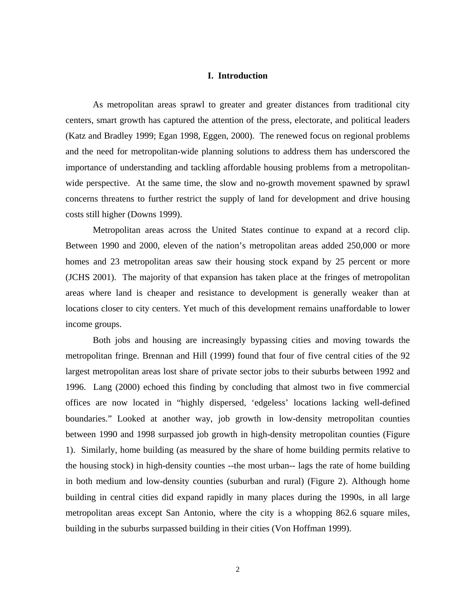### **I. Introduction**

As metropolitan areas sprawl to greater and greater distances from traditional city centers, smart growth has captured the attention of the press, electorate, and political leaders (Katz and Bradley 1999; Egan 1998, Eggen, 2000). The renewed focus on regional problems and the need for metropolitan-wide planning solutions to address them has underscored the importance of understanding and tackling affordable housing problems from a metropolitanwide perspective. At the same time, the slow and no-growth movement spawned by sprawl concerns threatens to further restrict the supply of land for development and drive housing costs still higher (Downs 1999).

Metropolitan areas across the United States continue to expand at a record clip. Between 1990 and 2000, eleven of the nation's metropolitan areas added 250,000 or more homes and 23 metropolitan areas saw their housing stock expand by 25 percent or more (JCHS 2001). The majority of that expansion has taken place at the fringes of metropolitan areas where land is cheaper and resistance to development is generally weaker than at locations closer to city centers. Yet much of this development remains unaffordable to lower income groups.

Both jobs and housing are increasingly bypassing cities and moving towards the metropolitan fringe. Brennan and Hill (1999) found that four of five central cities of the 92 largest metropolitan areas lost share of private sector jobs to their suburbs between 1992 and 1996. Lang (2000) echoed this finding by concluding that almost two in five commercial offices are now located in "highly dispersed, 'edgeless' locations lacking well-defined boundaries." Looked at another way, job growth in low-density metropolitan counties between 1990 and 1998 surpassed job growth in high-density metropolitan counties (Figure 1). Similarly, home building (as measured by the share of home building permits relative to the housing stock) in high-density counties --the most urban-- lags the rate of home building in both medium and low-density counties (suburban and rural) (Figure 2). Although home building in central cities did expand rapidly in many places during the 1990s, in all large metropolitan areas except San Antonio, where the city is a whopping 862.6 square miles, building in the suburbs surpassed building in their cities (Von Hoffman 1999).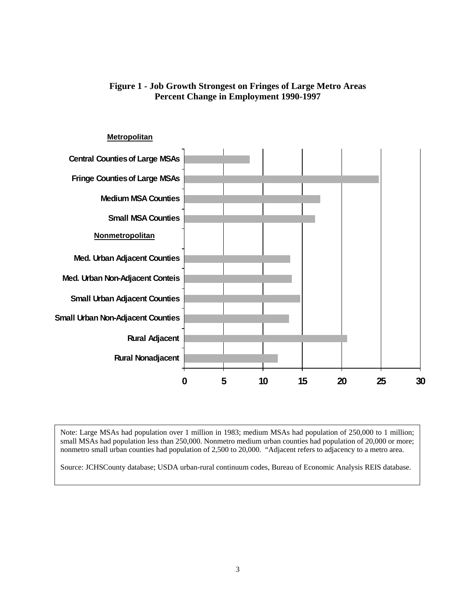

## **Figure 1 - Job Growth Strongest on Fringes of Large Metro Areas Percent Change in Employment 1990-1997**

Note: Large MSAs had population over 1 million in 1983; medium MSAs had population of 250,000 to 1 million; small MSAs had population less than 250,000. Nonmetro medium urban counties had population of 20,000 or more; nonmetro small urban counties had population of 2,500 to 20,000. "Adjacent refers to adjacency to a metro area.

Source: JCHSCounty database; USDA urban-rural continuum codes, Bureau of Economic Analysis REIS database.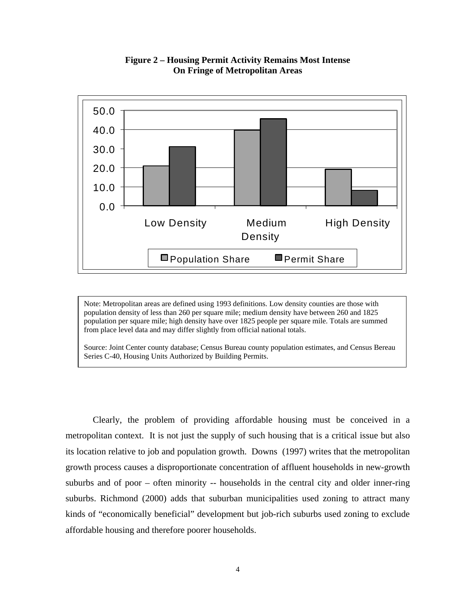

**Figure 2 – Housing Permit Activity Remains Most Intense On Fringe of Metropolitan Areas**

Note: Metropolitan areas are defined using 1993 definitions. Low density counties are those with population density of less than 260 per square mile; medium density have between 260 and 1825 population per square mile; high density have over 1825 people per square mile. Totals are summed from place level data and may differ slightly from official national totals.

Source: Joint Center county database; Census Bureau county population estimates, and Census Bereau Series C-40, Housing Units Authorized by Building Permits.

Clearly, the problem of providing affordable housing must be conceived in a metropolitan context. It is not just the supply of such housing that is a critical issue but also its location relative to job and population growth. Downs (1997) writes that the metropolitan growth process causes a disproportionate concentration of affluent households in new-growth suburbs and of poor – often minority -- households in the central city and older inner-ring suburbs. Richmond (2000) adds that suburban municipalities used zoning to attract many kinds of "economically beneficial" development but job-rich suburbs used zoning to exclude affordable housing and therefore poorer households.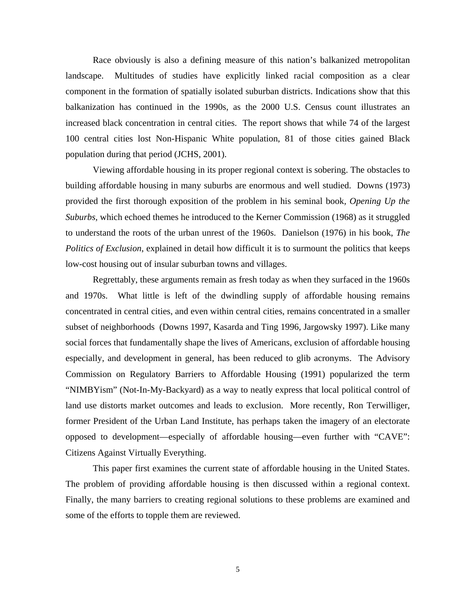Race obviously is also a defining measure of this nation's balkanized metropolitan landscape. Multitudes of studies have explicitly linked racial composition as a clear component in the formation of spatially isolated suburban districts. Indications show that this balkanization has continued in the 1990s, as the 2000 U.S. Census count illustrates an increased black concentration in central cities. The report shows that while 74 of the largest 100 central cities lost Non-Hispanic White population, 81 of those cities gained Black population during that period (JCHS, 2001).

Viewing affordable housing in its proper regional context is sobering. The obstacles to building affordable housing in many suburbs are enormous and well studied. Downs (1973) provided the first thorough exposition of the problem in his seminal book*, Opening Up the Suburbs,* which echoed themes he introduced to the Kerner Commission (1968) as it struggled to understand the roots of the urban unrest of the 1960s. Danielson (1976) in his book, *The Politics of Exclusion*, explained in detail how difficult it is to surmount the politics that keeps low-cost housing out of insular suburban towns and villages.

Regrettably, these arguments remain as fresh today as when they surfaced in the 1960s and 1970s. What little is left of the dwindling supply of affordable housing remains concentrated in central cities, and even within central cities, remains concentrated in a smaller subset of neighborhoods (Downs 1997, Kasarda and Ting 1996, Jargowsky 1997). Like many social forces that fundamentally shape the lives of Americans, exclusion of affordable housing especially, and development in general, has been reduced to glib acronyms. The Advisory Commission on Regulatory Barriers to Affordable Housing (1991) popularized the term "NIMBYism" (Not-In-My-Backyard) as a way to neatly express that local political control of land use distorts market outcomes and leads to exclusion. More recently, Ron Terwilliger, former President of the Urban Land Institute, has perhaps taken the imagery of an electorate opposed to development—especially of affordable housing—even further with "CAVE": Citizens Against Virtually Everything.

This paper first examines the current state of affordable housing in the United States. The problem of providing affordable housing is then discussed within a regional context. Finally, the many barriers to creating regional solutions to these problems are examined and some of the efforts to topple them are reviewed.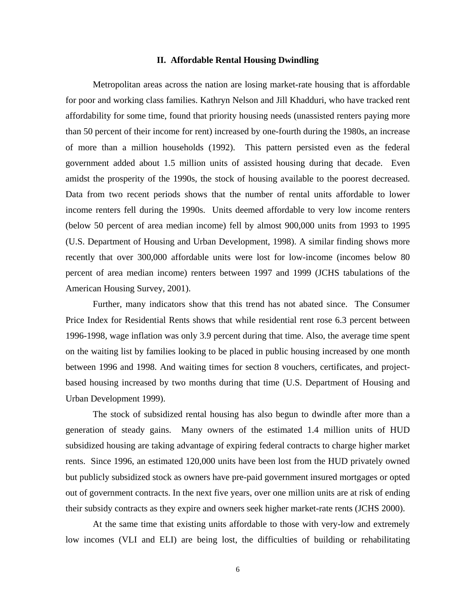#### **II. Affordable Rental Housing Dwindling**

Metropolitan areas across the nation are losing market-rate housing that is affordable for poor and working class families. Kathryn Nelson and Jill Khadduri, who have tracked rent affordability for some time, found that priority housing needs (unassisted renters paying more than 50 percent of their income for rent) increased by one-fourth during the 1980s, an increase of more than a million households (1992). This pattern persisted even as the federal government added about 1.5 million units of assisted housing during that decade. Even amidst the prosperity of the 1990s, the stock of housing available to the poorest decreased. Data from two recent periods shows that the number of rental units affordable to lower income renters fell during the 1990s. Units deemed affordable to very low income renters (below 50 percent of area median income) fell by almost 900,000 units from 1993 to 1995 (U.S. Department of Housing and Urban Development, 1998). A similar finding shows more recently that over 300,000 affordable units were lost for low-income (incomes below 80 percent of area median income) renters between 1997 and 1999 (JCHS tabulations of the American Housing Survey, 2001).

Further, many indicators show that this trend has not abated since. The Consumer Price Index for Residential Rents shows that while residential rent rose 6.3 percent between 1996-1998, wage inflation was only 3.9 percent during that time. Also, the average time spent on the waiting list by families looking to be placed in public housing increased by one month between 1996 and 1998. And waiting times for section 8 vouchers, certificates, and projectbased housing increased by two months during that time (U.S. Department of Housing and Urban Development 1999).

The stock of subsidized rental housing has also begun to dwindle after more than a generation of steady gains. Many owners of the estimated 1.4 million units of HUD subsidized housing are taking advantage of expiring federal contracts to charge higher market rents. Since 1996, an estimated 120,000 units have been lost from the HUD privately owned but publicly subsidized stock as owners have pre-paid government insured mortgages or opted out of government contracts. In the next five years, over one million units are at risk of ending their subsidy contracts as they expire and owners seek higher market-rate rents (JCHS 2000).

At the same time that existing units affordable to those with very-low and extremely low incomes (VLI and ELI) are being lost, the difficulties of building or rehabilitating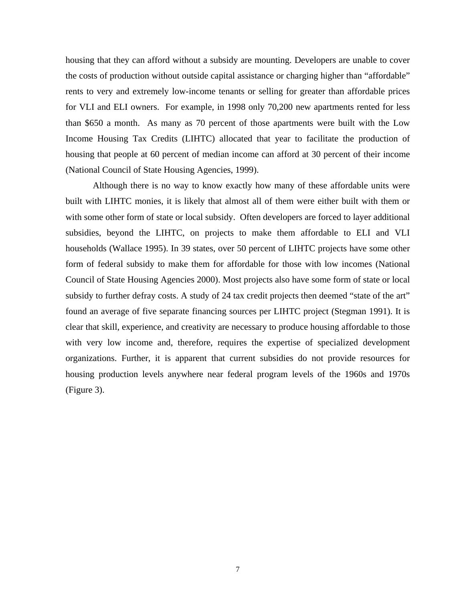housing that they can afford without a subsidy are mounting. Developers are unable to cover the costs of production without outside capital assistance or charging higher than "affordable" rents to very and extremely low-income tenants or selling for greater than affordable prices for VLI and ELI owners. For example, in 1998 only 70,200 new apartments rented for less than \$650 a month. As many as 70 percent of those apartments were built with the Low Income Housing Tax Credits (LIHTC) allocated that year to facilitate the production of housing that people at 60 percent of median income can afford at 30 percent of their income (National Council of State Housing Agencies, 1999).

Although there is no way to know exactly how many of these affordable units were built with LIHTC monies, it is likely that almost all of them were either built with them or with some other form of state or local subsidy. Often developers are forced to layer additional subsidies, beyond the LIHTC, on projects to make them affordable to ELI and VLI households (Wallace 1995). In 39 states, over 50 percent of LIHTC projects have some other form of federal subsidy to make them for affordable for those with low incomes (National Council of State Housing Agencies 2000). Most projects also have some form of state or local subsidy to further defray costs. A study of 24 tax credit projects then deemed "state of the art" found an average of five separate financing sources per LIHTC project (Stegman 1991). It is clear that skill, experience, and creativity are necessary to produce housing affordable to those with very low income and, therefore, requires the expertise of specialized development organizations. Further, it is apparent that current subsidies do not provide resources for housing production levels anywhere near federal program levels of the 1960s and 1970s (Figure 3).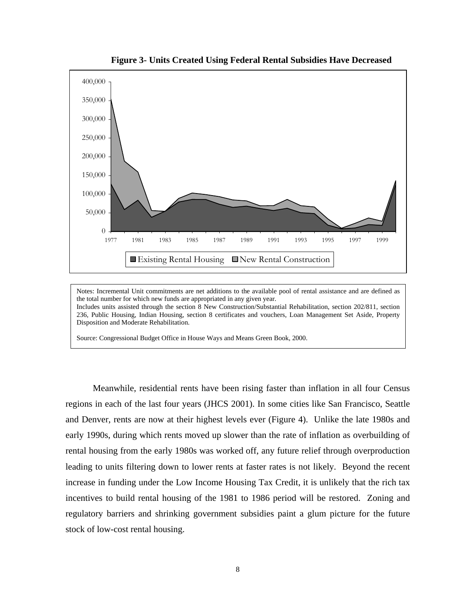

**Figure 3- Units Created Using Federal Rental Subsidies Have Decreased**

Notes: Incremental Unit commitments are net additions to the available pool of rental assistance and are defined as the total number for which new funds are appropriated in any given year. Includes units assisted through the section 8 New Construction/Substantial Rehabilitation, section 202/811, section 236, Public Housing, Indian Housing, section 8 certificates and vouchers, Loan Management Set Aside, Property Disposition and Moderate Rehabilitation.

Source: Congressional Budget Office in House Ways and Means Green Book, 2000.

Meanwhile, residential rents have been rising faster than inflation in all four Census regions in each of the last four years (JHCS 2001). In some cities like San Francisco, Seattle and Denver, rents are now at their highest levels ever (Figure 4). Unlike the late 1980s and early 1990s, during which rents moved up slower than the rate of inflation as overbuilding of rental housing from the early 1980s was worked off, any future relief through overproduction leading to units filtering down to lower rents at faster rates is not likely. Beyond the recent increase in funding under the Low Income Housing Tax Credit, it is unlikely that the rich tax incentives to build rental housing of the 1981 to 1986 period will be restored. Zoning and regulatory barriers and shrinking government subsidies paint a glum picture for the future stock of low-cost rental housing.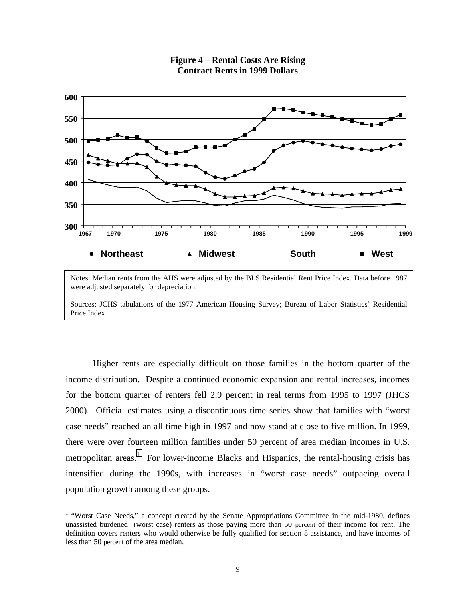

## **Figure 4 – Rental Costs Are Rising Contract Rents in 1999 Dollars**

Notes: Median rents from the AHS were adjusted by the BLS Residential Rent Price Index. Data before 1987 were adjusted separately for depreciation.

Sources: JCHS tabulations of the 1977 American Housing Survey; Bureau of Labor Statistics' Residential Price Index.

Higher rents are especially difficult on those families in the bottom quarter of the income distribution. Despite a continued economic expansion and rental increases, incomes for the bottom quarter of renters fell 2.9 percent in real terms from 1995 to 1997 (JHCS 2000). Official estimates using a discontinuous time series show that families with "worst case needs" reached an all time high in 1997 and now stand at close to five million. In 1999, there were over fourteen million families under 50 percent of area median incomes in U.S. metropolitan areas.<sup>1</sup> For lower-income Blacks and Hispanics, the rental-housing crisis has intensified during the 1990s, with increases in "worst case needs" outpacing overall population growth among these groups.

<sup>&</sup>lt;sup>1</sup> "Worst Case Needs," a concept created by the Senate Appropriations Committee in the mid-1980, defines unassisted burdened (worst case) renters as those paying more than 50 percent of their income for rent. The definition covers renters who would otherwise be fully qualified for section 8 assistance, and have incomes of less than 50 percent of the area median.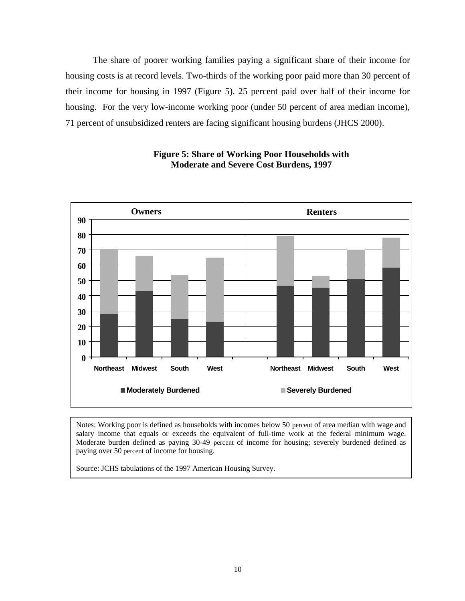The share of poorer working families paying a significant share of their income for housing costs is at record levels. Two-thirds of the working poor paid more than 30 percent of their income for housing in 1997 (Figure 5). 25 percent paid over half of their income for housing. For the very low-income working poor (under 50 percent of area median income), 71 percent of unsubsidized renters are facing significant housing burdens (JHCS 2000).



## **Figure 5: Share of Working Poor Households with Moderate and Severe Cost Burdens, 1997**

Notes: Working poor is defined as households with incomes below 50 percent of area median with wage and salary income that equals or exceeds the equivalent of full-time work at the federal minimum wage. Moderate burden defined as paying 30-49 percent of income for housing; severely burdened defined as paying over 50 percent of income for housing.

Source: JCHS tabulations of the 1997 American Housing Survey.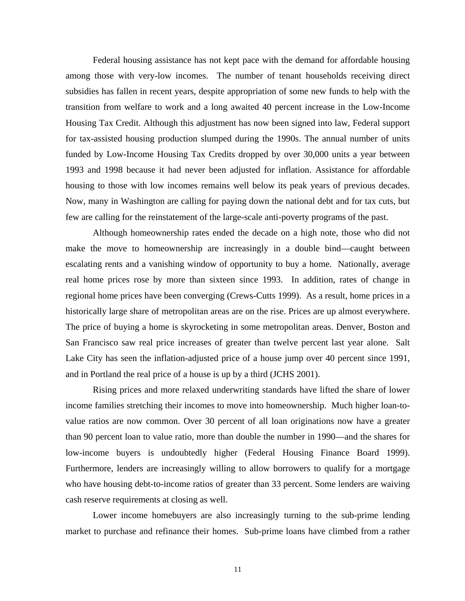Federal housing assistance has not kept pace with the demand for affordable housing among those with very-low incomes. The number of tenant households receiving direct subsidies has fallen in recent years, despite appropriation of some new funds to help with the transition from welfare to work and a long awaited 40 percent increase in the Low-Income Housing Tax Credit. Although this adjustment has now been signed into law, Federal support for tax-assisted housing production slumped during the 1990s. The annual number of units funded by Low-Income Housing Tax Credits dropped by over 30,000 units a year between 1993 and 1998 because it had never been adjusted for inflation. Assistance for affordable housing to those with low incomes remains well below its peak years of previous decades. Now, many in Washington are calling for paying down the national debt and for tax cuts, but few are calling for the reinstatement of the large-scale anti-poverty programs of the past.

Although homeownership rates ended the decade on a high note, those who did not make the move to homeownership are increasingly in a double bind—caught between escalating rents and a vanishing window of opportunity to buy a home. Nationally, average real home prices rose by more than sixteen since 1993. In addition, rates of change in regional home prices have been converging (Crews-Cutts 1999). As a result, home prices in a historically large share of metropolitan areas are on the rise. Prices are up almost everywhere. The price of buying a home is skyrocketing in some metropolitan areas. Denver, Boston and San Francisco saw real price increases of greater than twelve percent last year alone. Salt Lake City has seen the inflation-adjusted price of a house jump over 40 percent since 1991, and in Portland the real price of a house is up by a third (JCHS 2001).

Rising prices and more relaxed underwriting standards have lifted the share of lower income families stretching their incomes to move into homeownership. Much higher loan-tovalue ratios are now common. Over 30 percent of all loan originations now have a greater than 90 percent loan to value ratio, more than double the number in 1990—and the shares for low-income buyers is undoubtedly higher (Federal Housing Finance Board 1999). Furthermore, lenders are increasingly willing to allow borrowers to qualify for a mortgage who have housing debt-to-income ratios of greater than 33 percent. Some lenders are waiving cash reserve requirements at closing as well.

Lower income homebuyers are also increasingly turning to the sub-prime lending market to purchase and refinance their homes. Sub-prime loans have climbed from a rather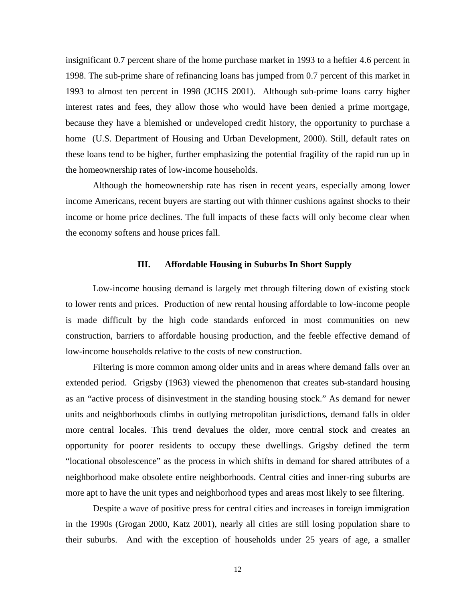insignificant 0.7 percent share of the home purchase market in 1993 to a heftier 4.6 percent in 1998. The sub-prime share of refinancing loans has jumped from 0.7 percent of this market in 1993 to almost ten percent in 1998 (JCHS 2001). Although sub-prime loans carry higher interest rates and fees, they allow those who would have been denied a prime mortgage, because they have a blemished or undeveloped credit history, the opportunity to purchase a home (U.S. Department of Housing and Urban Development, 2000). Still, default rates on these loans tend to be higher, further emphasizing the potential fragility of the rapid run up in the homeownership rates of low-income households.

Although the homeownership rate has risen in recent years, especially among lower income Americans, recent buyers are starting out with thinner cushions against shocks to their income or home price declines. The full impacts of these facts will only become clear when the economy softens and house prices fall.

### **III. Affordable Housing in Suburbs In Short Supply**

Low-income housing demand is largely met through filtering down of existing stock to lower rents and prices. Production of new rental housing affordable to low-income people is made difficult by the high code standards enforced in most communities on new construction, barriers to affordable housing production, and the feeble effective demand of low-income households relative to the costs of new construction.

Filtering is more common among older units and in areas where demand falls over an extended period. Grigsby (1963) viewed the phenomenon that creates sub-standard housing as an "active process of disinvestment in the standing housing stock." As demand for newer units and neighborhoods climbs in outlying metropolitan jurisdictions, demand falls in older more central locales. This trend devalues the older, more central stock and creates an opportunity for poorer residents to occupy these dwellings. Grigsby defined the term "locational obsolescence" as the process in which shifts in demand for shared attributes of a neighborhood make obsolete entire neighborhoods. Central cities and inner-ring suburbs are more apt to have the unit types and neighborhood types and areas most likely to see filtering.

Despite a wave of positive press for central cities and increases in foreign immigration in the 1990s (Grogan 2000, Katz 2001), nearly all cities are still losing population share to their suburbs. And with the exception of households under 25 years of age, a smaller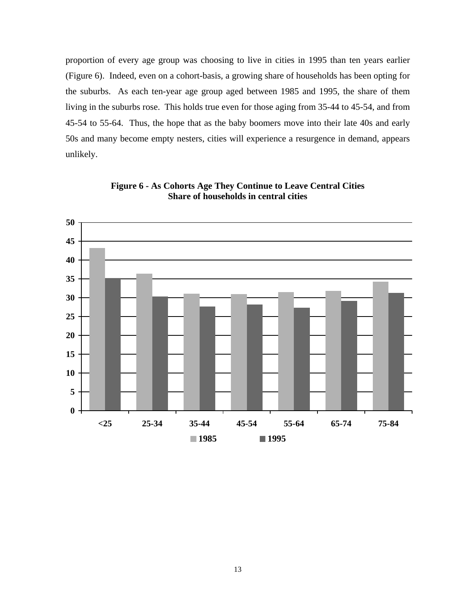proportion of every age group was choosing to live in cities in 1995 than ten years earlier (Figure 6). Indeed, even on a cohort-basis, a growing share of households has been opting for the suburbs. As each ten-year age group aged between 1985 and 1995, the share of them living in the suburbs rose. This holds true even for those aging from 35-44 to 45-54, and from 45-54 to 55-64. Thus, the hope that as the baby boomers move into their late 40s and early 50s and many become empty nesters, cities will experience a resurgence in demand, appears unlikely.



**Figure 6 - As Cohorts Age They Continue to Leave Central Cities Share of households in central cities**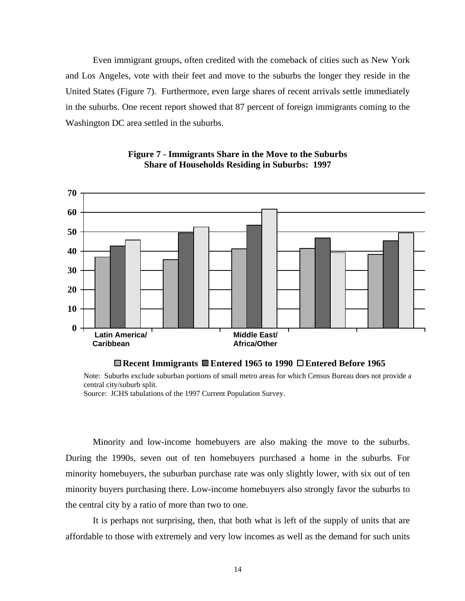Even immigrant groups, often credited with the comeback of cities such as New York and Los Angeles, vote with their feet and move to the suburbs the longer they reside in the United States (Figure 7). Furthermore, even large shares of recent arrivals settle immediately in the suburbs. One recent report showed that 87 percent of foreign immigrants coming to the Washington DC area settled in the suburbs.





#### **Recent Immigrants Entered 1965 to 1990 Entered Before 1965**

Note: Suburbs exclude suburban portions of small metro areas for which Census Bureau does not provide a central city/suburb split.

Source: JCHS tabulations of the 1997 Current Population Survey.

Minority and low-income homebuyers are also making the move to the suburbs. During the 1990s, seven out of ten homebuyers purchased a home in the suburbs. For minority homebuyers, the suburban purchase rate was only slightly lower, with six out of ten minority buyers purchasing there. Low-income homebuyers also strongly favor the suburbs to the central city by a ratio of more than two to one.

It is perhaps not surprising, then, that both what is left of the supply of units that are affordable to those with extremely and very low incomes as well as the demand for such units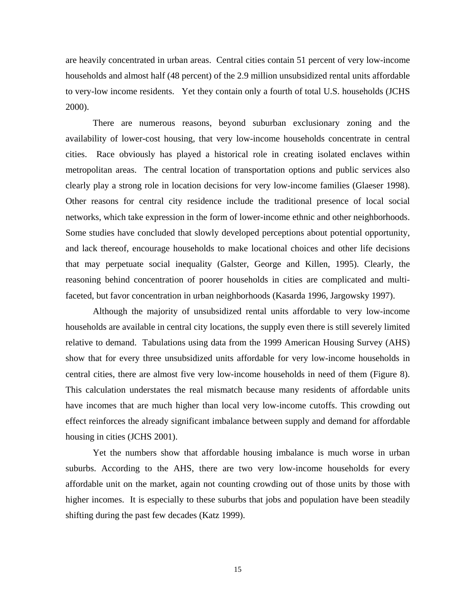are heavily concentrated in urban areas. Central cities contain 51 percent of very low-income households and almost half (48 percent) of the 2.9 million unsubsidized rental units affordable to very-low income residents. Yet they contain only a fourth of total U.S. households (JCHS 2000).

There are numerous reasons, beyond suburban exclusionary zoning and the availability of lower-cost housing, that very low-income households concentrate in central cities. Race obviously has played a historical role in creating isolated enclaves within metropolitan areas. The central location of transportation options and public services also clearly play a strong role in location decisions for very low-income families (Glaeser 1998). Other reasons for central city residence include the traditional presence of local social networks, which take expression in the form of lower-income ethnic and other neighborhoods. Some studies have concluded that slowly developed perceptions about potential opportunity, and lack thereof, encourage households to make locational choices and other life decisions that may perpetuate social inequality (Galster, George and Killen, 1995). Clearly, the reasoning behind concentration of poorer households in cities are complicated and multifaceted, but favor concentration in urban neighborhoods (Kasarda 1996, Jargowsky 1997).

Although the majority of unsubsidized rental units affordable to very low-income households are available in central city locations, the supply even there is still severely limited relative to demand. Tabulations using data from the 1999 American Housing Survey (AHS) show that for every three unsubsidized units affordable for very low-income households in central cities, there are almost five very low-income households in need of them (Figure 8). This calculation understates the real mismatch because many residents of affordable units have incomes that are much higher than local very low-income cutoffs. This crowding out effect reinforces the already significant imbalance between supply and demand for affordable housing in cities (JCHS 2001).

Yet the numbers show that affordable housing imbalance is much worse in urban suburbs. According to the AHS, there are two very low-income households for every affordable unit on the market, again not counting crowding out of those units by those with higher incomes. It is especially to these suburbs that jobs and population have been steadily shifting during the past few decades (Katz 1999).

15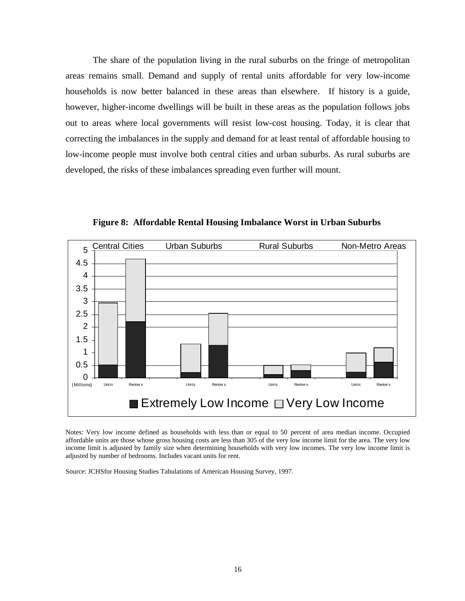The share of the population living in the rural suburbs on the fringe of metropolitan areas remains small. Demand and supply of rental units affordable for very low-income households is now better balanced in these areas than elsewhere. If history is a guide, however, higher-income dwellings will be built in these areas as the population follows jobs out to areas where local governments will resist low-cost housing. Today, it is clear that correcting the imbalances in the supply and demand for at least rental of affordable housing to low-income people must involve both central cities and urban suburbs. As rural suburbs are developed, the risks of these imbalances spreading even further will mount.



**Figure 8: Affordable Rental Housing Imbalance Worst in Urban Suburbs**

Notes: Very low income defined as households with less than or equal to 50 percent of area median income. Occupied affordable units are those whose gross housing costs are less than 305 of the very low income limit for the area. The very low income limit is adjusted by family size when determining households with very low incomes. The very low income limit is adjusted by number of bedrooms. Includes vacant units for rent.

Source: JCHSfor Housing Studies Tabulations of American Housing Survey, 1997.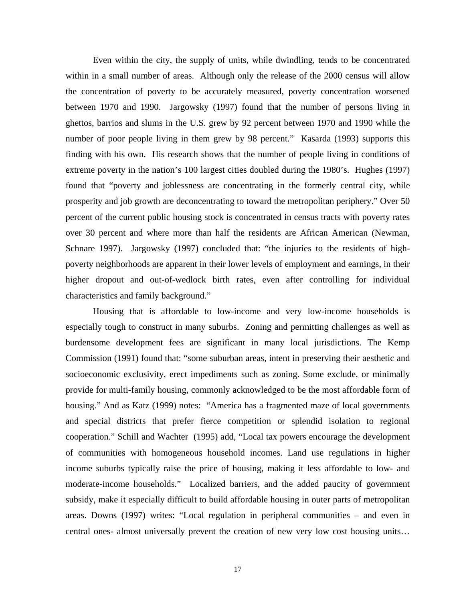Even within the city, the supply of units, while dwindling, tends to be concentrated within in a small number of areas. Although only the release of the 2000 census will allow the concentration of poverty to be accurately measured, poverty concentration worsened between 1970 and 1990. Jargowsky (1997) found that the number of persons living in ghettos, barrios and slums in the U.S. grew by 92 percent between 1970 and 1990 while the number of poor people living in them grew by 98 percent." Kasarda (1993) supports this finding with his own. His research shows that the number of people living in conditions of extreme poverty in the nation's 100 largest cities doubled during the 1980's. Hughes (1997) found that "poverty and joblessness are concentrating in the formerly central city, while prosperity and job growth are deconcentrating to toward the metropolitan periphery." Over 50 percent of the current public housing stock is concentrated in census tracts with poverty rates over 30 percent and where more than half the residents are African American (Newman, Schnare 1997). Jargowsky (1997) concluded that: "the injuries to the residents of highpoverty neighborhoods are apparent in their lower levels of employment and earnings, in their higher dropout and out-of-wedlock birth rates, even after controlling for individual characteristics and family background."

Housing that is affordable to low-income and very low-income households is especially tough to construct in many suburbs. Zoning and permitting challenges as well as burdensome development fees are significant in many local jurisdictions. The Kemp Commission (1991) found that: "some suburban areas, intent in preserving their aesthetic and socioeconomic exclusivity, erect impediments such as zoning. Some exclude, or minimally provide for multi-family housing, commonly acknowledged to be the most affordable form of housing." And as Katz (1999) notes: "America has a fragmented maze of local governments and special districts that prefer fierce competition or splendid isolation to regional cooperation." Schill and Wachter (1995) add, "Local tax powers encourage the development of communities with homogeneous household incomes. Land use regulations in higher income suburbs typically raise the price of housing, making it less affordable to low- and moderate-income households." Localized barriers, and the added paucity of government subsidy, make it especially difficult to build affordable housing in outer parts of metropolitan areas. Downs (1997) writes: "Local regulation in peripheral communities – and even in central ones- almost universally prevent the creation of new very low cost housing units…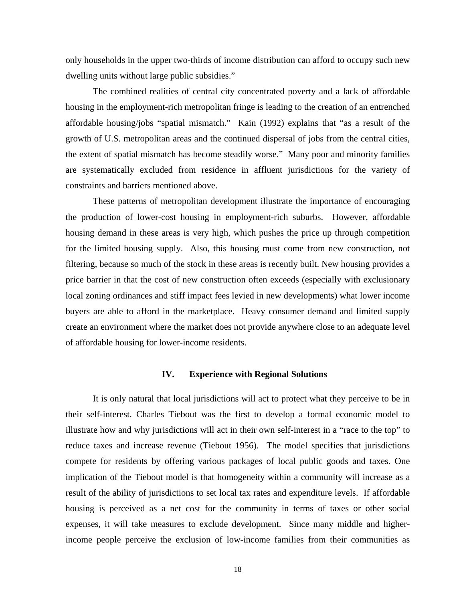only households in the upper two-thirds of income distribution can afford to occupy such new dwelling units without large public subsidies."

The combined realities of central city concentrated poverty and a lack of affordable housing in the employment-rich metropolitan fringe is leading to the creation of an entrenched affordable housing/jobs "spatial mismatch." Kain (1992) explains that "as a result of the growth of U.S. metropolitan areas and the continued dispersal of jobs from the central cities, the extent of spatial mismatch has become steadily worse." Many poor and minority families are systematically excluded from residence in affluent jurisdictions for the variety of constraints and barriers mentioned above.

These patterns of metropolitan development illustrate the importance of encouraging the production of lower-cost housing in employment-rich suburbs. However, affordable housing demand in these areas is very high, which pushes the price up through competition for the limited housing supply. Also, this housing must come from new construction, not filtering, because so much of the stock in these areas is recently built. New housing provides a price barrier in that the cost of new construction often exceeds (especially with exclusionary local zoning ordinances and stiff impact fees levied in new developments) what lower income buyers are able to afford in the marketplace. Heavy consumer demand and limited supply create an environment where the market does not provide anywhere close to an adequate level of affordable housing for lower-income residents.

### **IV. Experience with Regional Solutions**

It is only natural that local jurisdictions will act to protect what they perceive to be in their self-interest. Charles Tiebout was the first to develop a formal economic model to illustrate how and why jurisdictions will act in their own self-interest in a "race to the top" to reduce taxes and increase revenue (Tiebout 1956). The model specifies that jurisdictions compete for residents by offering various packages of local public goods and taxes. One implication of the Tiebout model is that homogeneity within a community will increase as a result of the ability of jurisdictions to set local tax rates and expenditure levels. If affordable housing is perceived as a net cost for the community in terms of taxes or other social expenses, it will take measures to exclude development. Since many middle and higherincome people perceive the exclusion of low-income families from their communities as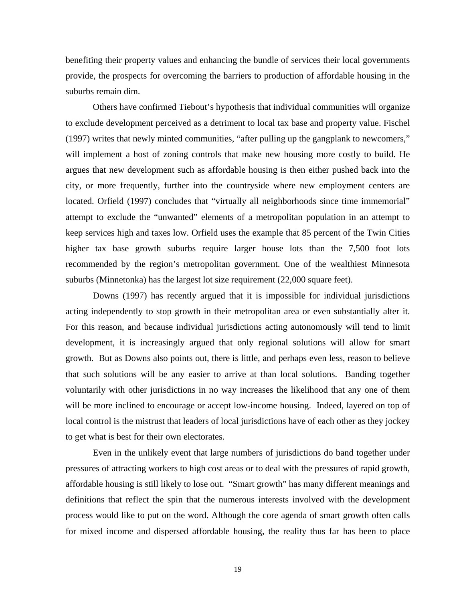benefiting their property values and enhancing the bundle of services their local governments provide, the prospects for overcoming the barriers to production of affordable housing in the suburbs remain dim.

Others have confirmed Tiebout's hypothesis that individual communities will organize to exclude development perceived as a detriment to local tax base and property value. Fischel (1997) writes that newly minted communities, "after pulling up the gangplank to newcomers," will implement a host of zoning controls that make new housing more costly to build. He argues that new development such as affordable housing is then either pushed back into the city, or more frequently, further into the countryside where new employment centers are located. Orfield (1997) concludes that "virtually all neighborhoods since time immemorial" attempt to exclude the "unwanted" elements of a metropolitan population in an attempt to keep services high and taxes low. Orfield uses the example that 85 percent of the Twin Cities higher tax base growth suburbs require larger house lots than the 7,500 foot lots recommended by the region's metropolitan government. One of the wealthiest Minnesota suburbs (Minnetonka) has the largest lot size requirement (22,000 square feet).

Downs (1997) has recently argued that it is impossible for individual jurisdictions acting independently to stop growth in their metropolitan area or even substantially alter it. For this reason, and because individual jurisdictions acting autonomously will tend to limit development, it is increasingly argued that only regional solutions will allow for smart growth. But as Downs also points out, there is little, and perhaps even less, reason to believe that such solutions will be any easier to arrive at than local solutions. Banding together voluntarily with other jurisdictions in no way increases the likelihood that any one of them will be more inclined to encourage or accept low-income housing. Indeed, layered on top of local control is the mistrust that leaders of local jurisdictions have of each other as they jockey to get what is best for their own electorates.

Even in the unlikely event that large numbers of jurisdictions do band together under pressures of attracting workers to high cost areas or to deal with the pressures of rapid growth, affordable housing is still likely to lose out. "Smart growth" has many different meanings and definitions that reflect the spin that the numerous interests involved with the development process would like to put on the word. Although the core agenda of smart growth often calls for mixed income and dispersed affordable housing, the reality thus far has been to place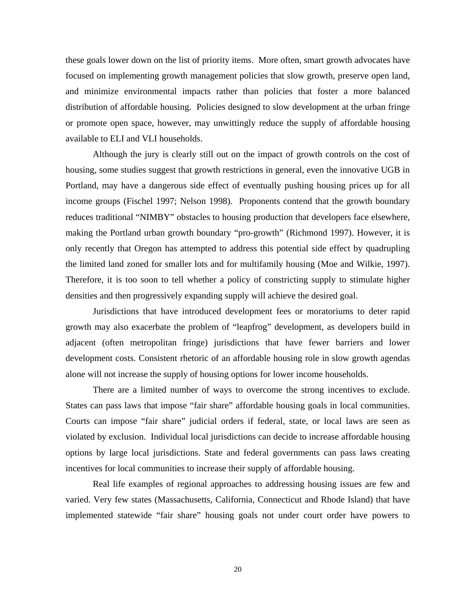these goals lower down on the list of priority items. More often, smart growth advocates have focused on implementing growth management policies that slow growth, preserve open land, and minimize environmental impacts rather than policies that foster a more balanced distribution of affordable housing. Policies designed to slow development at the urban fringe or promote open space, however, may unwittingly reduce the supply of affordable housing available to ELI and VLI households.

Although the jury is clearly still out on the impact of growth controls on the cost of housing, some studies suggest that growth restrictions in general, even the innovative UGB in Portland, may have a dangerous side effect of eventually pushing housing prices up for all income groups (Fischel 1997; Nelson 1998). Proponents contend that the growth boundary reduces traditional "NIMBY" obstacles to housing production that developers face elsewhere, making the Portland urban growth boundary "pro-growth" (Richmond 1997). However, it is only recently that Oregon has attempted to address this potential side effect by quadrupling the limited land zoned for smaller lots and for multifamily housing (Moe and Wilkie, 1997). Therefore, it is too soon to tell whether a policy of constricting supply to stimulate higher densities and then progressively expanding supply will achieve the desired goal.

Jurisdictions that have introduced development fees or moratoriums to deter rapid growth may also exacerbate the problem of "leapfrog" development, as developers build in adjacent (often metropolitan fringe) jurisdictions that have fewer barriers and lower development costs. Consistent rhetoric of an affordable housing role in slow growth agendas alone will not increase the supply of housing options for lower income households.

There are a limited number of ways to overcome the strong incentives to exclude. States can pass laws that impose "fair share" affordable housing goals in local communities. Courts can impose "fair share" judicial orders if federal, state, or local laws are seen as violated by exclusion. Individual local jurisdictions can decide to increase affordable housing options by large local jurisdictions. State and federal governments can pass laws creating incentives for local communities to increase their supply of affordable housing.

Real life examples of regional approaches to addressing housing issues are few and varied. Very few states (Massachusetts, California, Connecticut and Rhode Island) that have implemented statewide "fair share" housing goals not under court order have powers to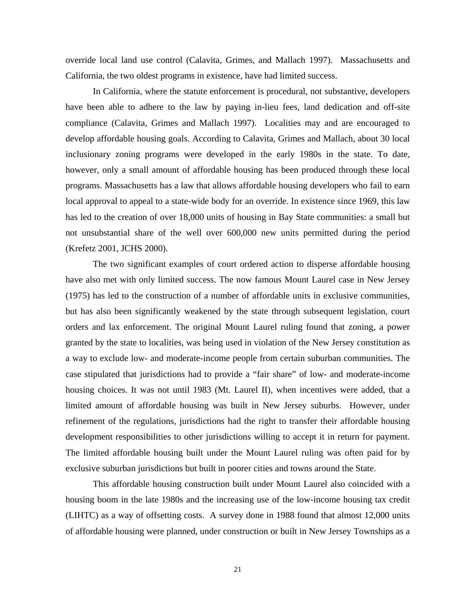override local land use control (Calavita, Grimes, and Mallach 1997). Massachusetts and California, the two oldest programs in existence, have had limited success.

In California, where the statute enforcement is procedural, not substantive, developers have been able to adhere to the law by paying in-lieu fees, land dedication and off-site compliance (Calavita, Grimes and Mallach 1997). Localities may and are encouraged to develop affordable housing goals. According to Calavita, Grimes and Mallach, about 30 local inclusionary zoning programs were developed in the early 1980s in the state. To date, however, only a small amount of affordable housing has been produced through these local programs. Massachusetts has a law that allows affordable housing developers who fail to earn local approval to appeal to a state-wide body for an override. In existence since 1969, this law has led to the creation of over 18,000 units of housing in Bay State communities: a small but not unsubstantial share of the well over 600,000 new units permitted during the period (Krefetz 2001, JCHS 2000).

The two significant examples of court ordered action to disperse affordable housing have also met with only limited success. The now famous Mount Laurel case in New Jersey (1975) has led to the construction of a number of affordable units in exclusive communities, but has also been significantly weakened by the state through subsequent legislation, court orders and lax enforcement. The original Mount Laurel ruling found that zoning, a power granted by the state to localities, was being used in violation of the New Jersey constitution as a way to exclude low- and moderate-income people from certain suburban communities. The case stipulated that jurisdictions had to provide a "fair share" of low- and moderate-income housing choices. It was not until 1983 (Mt. Laurel II), when incentives were added, that a limited amount of affordable housing was built in New Jersey suburbs. However, under refinement of the regulations, jurisdictions had the right to transfer their affordable housing development responsibilities to other jurisdictions willing to accept it in return for payment. The limited affordable housing built under the Mount Laurel ruling was often paid for by exclusive suburban jurisdictions but built in poorer cities and towns around the State.

This affordable housing construction built under Mount Laurel also coincided with a housing boom in the late 1980s and the increasing use of the low-income housing tax credit (LIHTC) as a way of offsetting costs. A survey done in 1988 found that almost 12,000 units of affordable housing were planned, under construction or built in New Jersey Townships as a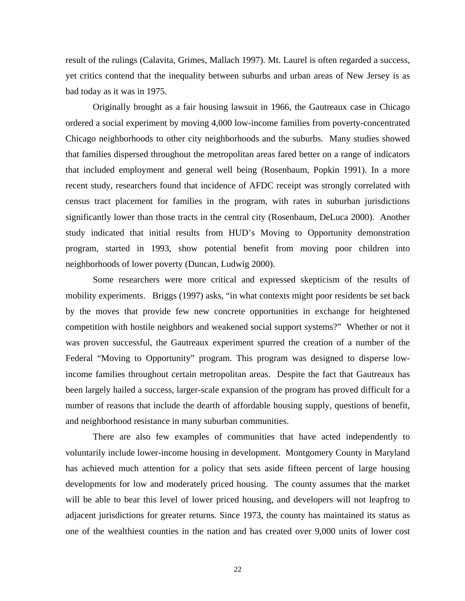result of the rulings (Calavita, Grimes, Mallach 1997). Mt. Laurel is often regarded a success, yet critics contend that the inequality between suburbs and urban areas of New Jersey is as bad today as it was in 1975.

Originally brought as a fair housing lawsuit in 1966, the Gautreaux case in Chicago ordered a social experiment by moving 4,000 low-income families from poverty-concentrated Chicago neighborhoods to other city neighborhoods and the suburbs. Many studies showed that families dispersed throughout the metropolitan areas fared better on a range of indicators that included employment and general well being (Rosenbaum, Popkin 1991). In a more recent study, researchers found that incidence of AFDC receipt was strongly correlated with census tract placement for families in the program, with rates in suburban jurisdictions significantly lower than those tracts in the central city (Rosenbaum, DeLuca 2000). Another study indicated that initial results from HUD's Moving to Opportunity demonstration program, started in 1993, show potential benefit from moving poor children into neighborhoods of lower poverty (Duncan, Ludwig 2000).

Some researchers were more critical and expressed skepticism of the results of mobility experiments. Briggs (1997) asks, "in what contexts might poor residents be set back by the moves that provide few new concrete opportunities in exchange for heightened competition with hostile neighbors and weakened social support systems?" Whether or not it was proven successful, the Gautreaux experiment spurred the creation of a number of the Federal "Moving to Opportunity" program. This program was designed to disperse lowincome families throughout certain metropolitan areas. Despite the fact that Gautreaux has been largely hailed a success, larger-scale expansion of the program has proved difficult for a number of reasons that include the dearth of affordable housing supply, questions of benefit, and neighborhood resistance in many suburban communities.

There are also few examples of communities that have acted independently to voluntarily include lower-income housing in development. Montgomery County in Maryland has achieved much attention for a policy that sets aside fifteen percent of large housing developments for low and moderately priced housing. The county assumes that the market will be able to bear this level of lower priced housing, and developers will not leapfrog to adjacent jurisdictions for greater returns. Since 1973, the county has maintained its status as one of the wealthiest counties in the nation and has created over 9,000 units of lower cost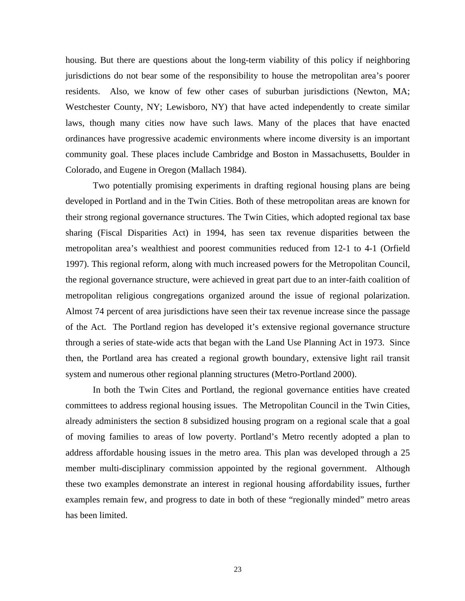housing. But there are questions about the long-term viability of this policy if neighboring jurisdictions do not bear some of the responsibility to house the metropolitan area's poorer residents. Also, we know of few other cases of suburban jurisdictions (Newton, MA; Westchester County, NY; Lewisboro, NY) that have acted independently to create similar laws, though many cities now have such laws. Many of the places that have enacted ordinances have progressive academic environments where income diversity is an important community goal. These places include Cambridge and Boston in Massachusetts, Boulder in Colorado, and Eugene in Oregon (Mallach 1984).

Two potentially promising experiments in drafting regional housing plans are being developed in Portland and in the Twin Cities. Both of these metropolitan areas are known for their strong regional governance structures. The Twin Cities, which adopted regional tax base sharing (Fiscal Disparities Act) in 1994, has seen tax revenue disparities between the metropolitan area's wealthiest and poorest communities reduced from 12-1 to 4-1 (Orfield 1997). This regional reform, along with much increased powers for the Metropolitan Council, the regional governance structure, were achieved in great part due to an inter-faith coalition of metropolitan religious congregations organized around the issue of regional polarization. Almost 74 percent of area jurisdictions have seen their tax revenue increase since the passage of the Act. The Portland region has developed it's extensive regional governance structure through a series of state-wide acts that began with the Land Use Planning Act in 1973. Since then, the Portland area has created a regional growth boundary, extensive light rail transit system and numerous other regional planning structures (Metro-Portland 2000).

In both the Twin Cites and Portland, the regional governance entities have created committees to address regional housing issues. The Metropolitan Council in the Twin Cities, already administers the section 8 subsidized housing program on a regional scale that a goal of moving families to areas of low poverty. Portland's Metro recently adopted a plan to address affordable housing issues in the metro area. This plan was developed through a 25 member multi-disciplinary commission appointed by the regional government. Although these two examples demonstrate an interest in regional housing affordability issues, further examples remain few, and progress to date in both of these "regionally minded" metro areas has been limited.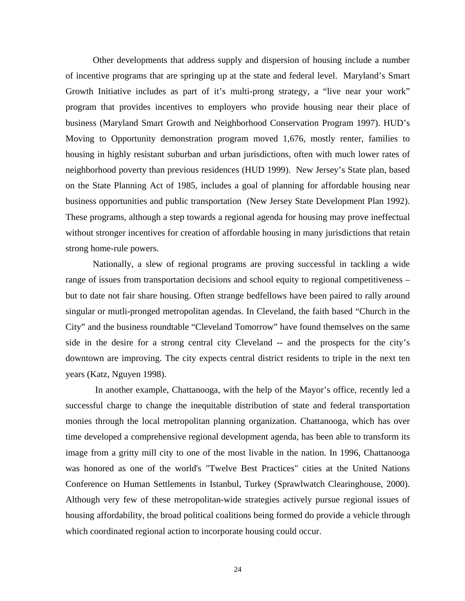Other developments that address supply and dispersion of housing include a number of incentive programs that are springing up at the state and federal level. Maryland's Smart Growth Initiative includes as part of it's multi-prong strategy, a "live near your work" program that provides incentives to employers who provide housing near their place of business (Maryland Smart Growth and Neighborhood Conservation Program 1997). HUD's Moving to Opportunity demonstration program moved 1,676, mostly renter, families to housing in highly resistant suburban and urban jurisdictions, often with much lower rates of neighborhood poverty than previous residences (HUD 1999). New Jersey's State plan, based on the State Planning Act of 1985, includes a goal of planning for affordable housing near business opportunities and public transportation (New Jersey State Development Plan 1992). These programs, although a step towards a regional agenda for housing may prove ineffectual without stronger incentives for creation of affordable housing in many jurisdictions that retain strong home-rule powers.

Nationally, a slew of regional programs are proving successful in tackling a wide range of issues from transportation decisions and school equity to regional competitiveness – but to date not fair share housing. Often strange bedfellows have been paired to rally around singular or mutli-pronged metropolitan agendas. In Cleveland, the faith based "Church in the City" and the business roundtable "Cleveland Tomorrow" have found themselves on the same side in the desire for a strong central city Cleveland -- and the prospects for the city's downtown are improving. The city expects central district residents to triple in the next ten years (Katz, Nguyen 1998).

In another example, Chattanooga, with the help of the Mayor's office, recently led a successful charge to change the inequitable distribution of state and federal transportation monies through the local metropolitan planning organization. Chattanooga, which has over time developed a comprehensive regional development agenda, has been able to transform its image from a gritty mill city to one of the most livable in the nation. In 1996, Chattanooga was honored as one of the world's "Twelve Best Practices" cities at the United Nations Conference on Human Settlements in Istanbul, Turkey (Sprawlwatch Clearinghouse, 2000). Although very few of these metropolitan-wide strategies actively pursue regional issues of housing affordability, the broad political coalitions being formed do provide a vehicle through which coordinated regional action to incorporate housing could occur.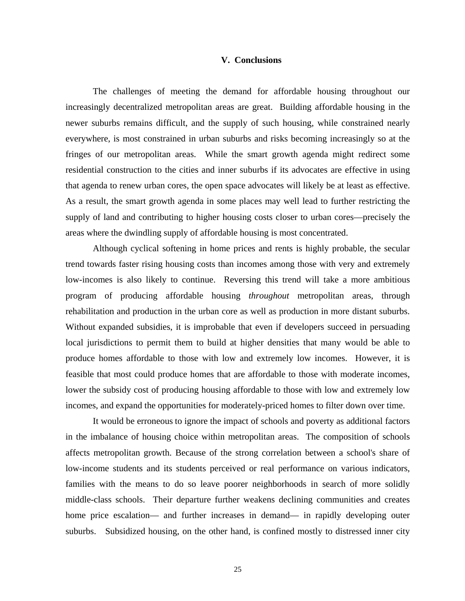### **V. Conclusions**

The challenges of meeting the demand for affordable housing throughout our increasingly decentralized metropolitan areas are great. Building affordable housing in the newer suburbs remains difficult, and the supply of such housing, while constrained nearly everywhere, is most constrained in urban suburbs and risks becoming increasingly so at the fringes of our metropolitan areas. While the smart growth agenda might redirect some residential construction to the cities and inner suburbs if its advocates are effective in using that agenda to renew urban cores, the open space advocates will likely be at least as effective. As a result, the smart growth agenda in some places may well lead to further restricting the supply of land and contributing to higher housing costs closer to urban cores—precisely the areas where the dwindling supply of affordable housing is most concentrated.

Although cyclical softening in home prices and rents is highly probable, the secular trend towards faster rising housing costs than incomes among those with very and extremely low-incomes is also likely to continue. Reversing this trend will take a more ambitious program of producing affordable housing *throughout* metropolitan areas, through rehabilitation and production in the urban core as well as production in more distant suburbs. Without expanded subsidies, it is improbable that even if developers succeed in persuading local jurisdictions to permit them to build at higher densities that many would be able to produce homes affordable to those with low and extremely low incomes. However, it is feasible that most could produce homes that are affordable to those with moderate incomes, lower the subsidy cost of producing housing affordable to those with low and extremely low incomes, and expand the opportunities for moderately-priced homes to filter down over time.

It would be erroneous to ignore the impact of schools and poverty as additional factors in the imbalance of housing choice within metropolitan areas. The composition of schools affects metropolitan growth. Because of the strong correlation between a school's share of low-income students and its students perceived or real performance on various indicators, families with the means to do so leave poorer neighborhoods in search of more solidly middle-class schools. Their departure further weakens declining communities and creates home price escalation— and further increases in demand— in rapidly developing outer suburbs. Subsidized housing, on the other hand, is confined mostly to distressed inner city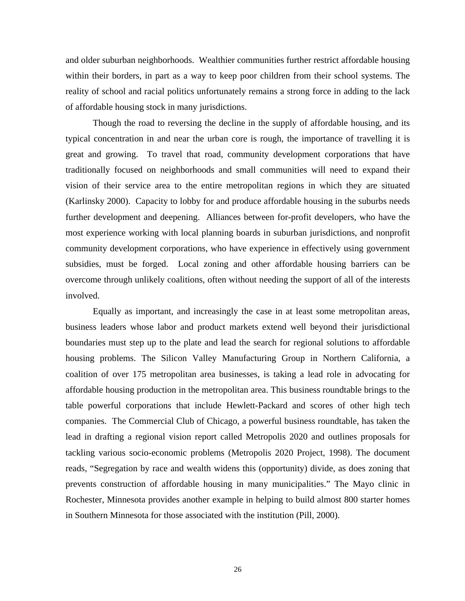and older suburban neighborhoods. Wealthier communities further restrict affordable housing within their borders, in part as a way to keep poor children from their school systems. The reality of school and racial politics unfortunately remains a strong force in adding to the lack of affordable housing stock in many jurisdictions.

Though the road to reversing the decline in the supply of affordable housing, and its typical concentration in and near the urban core is rough, the importance of travelling it is great and growing. To travel that road, community development corporations that have traditionally focused on neighborhoods and small communities will need to expand their vision of their service area to the entire metropolitan regions in which they are situated (Karlinsky 2000). Capacity to lobby for and produce affordable housing in the suburbs needs further development and deepening. Alliances between for-profit developers, who have the most experience working with local planning boards in suburban jurisdictions, and nonprofit community development corporations, who have experience in effectively using government subsidies, must be forged. Local zoning and other affordable housing barriers can be overcome through unlikely coalitions, often without needing the support of all of the interests involved.

Equally as important, and increasingly the case in at least some metropolitan areas, business leaders whose labor and product markets extend well beyond their jurisdictional boundaries must step up to the plate and lead the search for regional solutions to affordable housing problems. The Silicon Valley Manufacturing Group in Northern California, a coalition of over 175 metropolitan area businesses, is taking a lead role in advocating for affordable housing production in the metropolitan area. This business roundtable brings to the table powerful corporations that include Hewlett-Packard and scores of other high tech companies. The Commercial Club of Chicago, a powerful business roundtable, has taken the lead in drafting a regional vision report called Metropolis 2020 and outlines proposals for tackling various socio-economic problems (Metropolis 2020 Project, 1998). The document reads, "Segregation by race and wealth widens this (opportunity) divide, as does zoning that prevents construction of affordable housing in many municipalities." The Mayo clinic in Rochester, Minnesota provides another example in helping to build almost 800 starter homes in Southern Minnesota for those associated with the institution (Pill, 2000).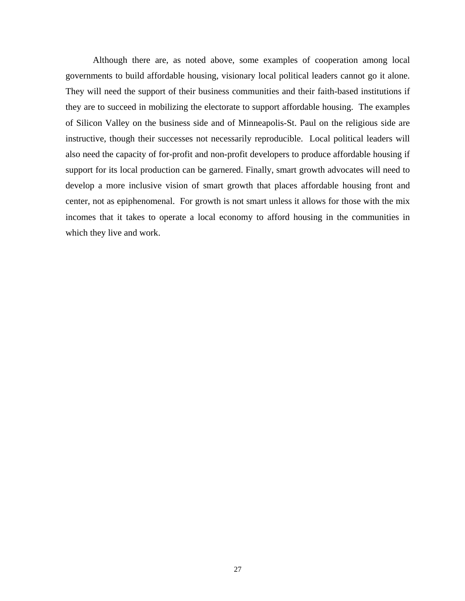Although there are, as noted above, some examples of cooperation among local governments to build affordable housing, visionary local political leaders cannot go it alone. They will need the support of their business communities and their faith-based institutions if they are to succeed in mobilizing the electorate to support affordable housing. The examples of Silicon Valley on the business side and of Minneapolis-St. Paul on the religious side are instructive, though their successes not necessarily reproducible. Local political leaders will also need the capacity of for-profit and non-profit developers to produce affordable housing if support for its local production can be garnered. Finally, smart growth advocates will need to develop a more inclusive vision of smart growth that places affordable housing front and center, not as epiphenomenal. For growth is not smart unless it allows for those with the mix incomes that it takes to operate a local economy to afford housing in the communities in which they live and work.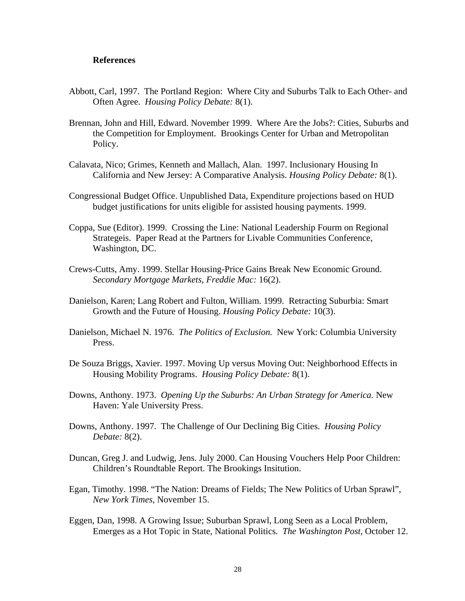### **References**

- Abbott, Carl, 1997. The Portland Region: Where City and Suburbs Talk to Each Other- and Often Agree. *Housing Policy Debate:* 8(1).
- Brennan, John and Hill, Edward. November 1999. Where Are the Jobs?: Cities, Suburbs and the Competition for Employment. Brookings Center for Urban and Metropolitan Policy.
- Calavata, Nico; Grimes, Kenneth and Mallach, Alan. 1997. Inclusionary Housing In California and New Jersey: A Comparative Analysis. *Housing Policy Debate:* 8(1).
- Congressional Budget Office. Unpublished Data, Expenditure projections based on HUD budget justifications for units eligible for assisted housing payments. 1999.
- Coppa, Sue (Editor). 1999. Crossing the Line: National Leadership Fourm on Regional Strategeis. Paper Read at the Partners for Livable Communities Conference, Washington, DC.
- Crews-Cutts, Amy. 1999. Stellar Housing-Price Gains Break New Economic Ground. *Secondary Mortgage Markets, Freddie Mac:* 16(2).
- Danielson, Karen; Lang Robert and Fulton, William. 1999. Retracting Suburbia: Smart Growth and the Future of Housing. *Housing Policy Debate:* 10(3).
- Danielson, Michael N. 1976. *The Politics of Exclusion.* New York: Columbia University Press.
- De Souza Briggs, Xavier. 1997. Moving Up versus Moving Out: Neighborhood Effects in Housing Mobility Programs. *Housing Policy Debate:* 8(1).
- Downs, Anthony. 1973. *Opening Up the Suburbs: An Urban Strategy for America.* New Haven: Yale University Press.
- Downs, Anthony. 1997. The Challenge of Our Declining Big Cities. *Housing Policy Debate:* 8(2).
- Duncan, Greg J. and Ludwig, Jens. July 2000. Can Housing Vouchers Help Poor Children: Children's Roundtable Report. The Brookings Insitution.
- Egan, Timothy. 1998. "The Nation: Dreams of Fields; The New Politics of Urban Sprawl", *New York Times,* November 15.
- Eggen, Dan, 1998. A Growing Issue; Suburban Sprawl, Long Seen as a Local Problem, Emerges as a Hot Topic in State, National Politics. *The Washington Post,* October 12.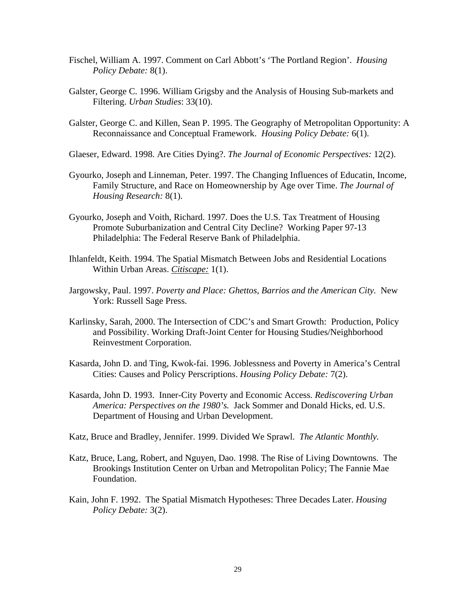- Fischel, William A. 1997. Comment on Carl Abbott's 'The Portland Region'. *Housing Policy Debate:* 8(1).
- Galster, George C. 1996. William Grigsby and the Analysis of Housing Sub-markets and Filtering. *Urban Studies*: 33(10).
- Galster, George C. and Killen, Sean P. 1995. The Geography of Metropolitan Opportunity: A Reconnaissance and Conceptual Framework. *Housing Policy Debate:* 6(1).
- Glaeser, Edward. 1998. Are Cities Dying?. *The Journal of Economic Perspectives:* 12(2).
- Gyourko, Joseph and Linneman, Peter. 1997. The Changing Influences of Educatin, Income, Family Structure, and Race on Homeownership by Age over Time. *The Journal of Housing Research:* 8(1).
- Gyourko, Joseph and Voith, Richard. 1997. Does the U.S. Tax Treatment of Housing Promote Suburbanization and Central City Decline? Working Paper 97-13 Philadelphia: The Federal Reserve Bank of Philadelphia.
- Ihlanfeldt, Keith. 1994. The Spatial Mismatch Between Jobs and Residential Locations Within Urban Areas. *Citiscape:* 1(1).
- Jargowsky, Paul. 1997. *Poverty and Place: Ghettos, Barrios and the American City.* New York: Russell Sage Press.
- Karlinsky, Sarah, 2000. The Intersection of CDC's and Smart Growth: Production, Policy and Possibility. Working Draft-Joint Center for Housing Studies/Neighborhood Reinvestment Corporation.
- Kasarda, John D. and Ting, Kwok-fai. 1996. Joblessness and Poverty in America's Central Cities: Causes and Policy Perscriptions. *Housing Policy Debate:* 7(2).
- Kasarda, John D. 1993. Inner-City Poverty and Economic Access. *Rediscovering Urban America: Perspectives on the 1980's.* Jack Sommer and Donald Hicks, ed. U.S. Department of Housing and Urban Development.
- Katz, Bruce and Bradley, Jennifer. 1999. Divided We Sprawl. *The Atlantic Monthly.*
- Katz, Bruce, Lang, Robert, and Nguyen, Dao. 1998. The Rise of Living Downtowns. The Brookings Institution Center on Urban and Metropolitan Policy; The Fannie Mae Foundation.
- Kain, John F. 1992. The Spatial Mismatch Hypotheses: Three Decades Later. *Housing Policy Debate:* 3(2).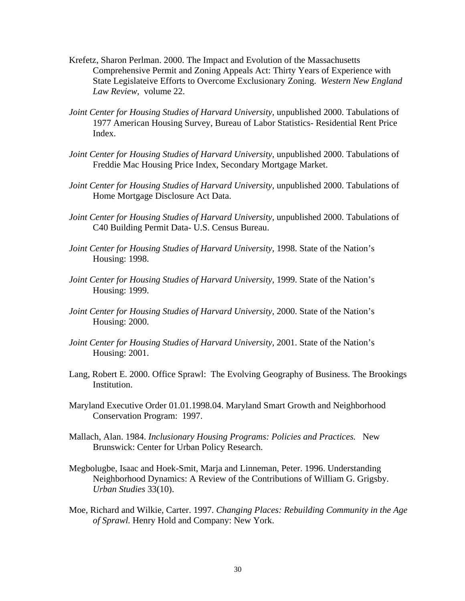- Krefetz, Sharon Perlman. 2000. The Impact and Evolution of the Massachusetts Comprehensive Permit and Zoning Appeals Act: Thirty Years of Experience with State Legislateive Efforts to Overcome Exclusionary Zoning. *Western New England Law Review,* volume 22.
- *Joint Center for Housing Studies of Harvard University,* unpublished 2000. Tabulations of 1977 American Housing Survey, Bureau of Labor Statistics- Residential Rent Price Index.
- *Joint Center for Housing Studies of Harvard University,* unpublished 2000. Tabulations of Freddie Mac Housing Price Index, Secondary Mortgage Market.
- *Joint Center for Housing Studies of Harvard University,* unpublished 2000. Tabulations of Home Mortgage Disclosure Act Data.
- *Joint Center for Housing Studies of Harvard University,* unpublished 2000. Tabulations of C40 Building Permit Data- U.S. Census Bureau.
- *Joint Center for Housing Studies of Harvard University,* 1998. State of the Nation's Housing: 1998.
- *Joint Center for Housing Studies of Harvard University,* 1999. State of the Nation's Housing: 1999.
- *Joint Center for Housing Studies of Harvard University,* 2000. State of the Nation's Housing: 2000.
- *Joint Center for Housing Studies of Harvard University,* 2001. State of the Nation's Housing: 2001.
- Lang, Robert E. 2000. Office Sprawl: The Evolving Geography of Business. The Brookings Institution.
- Maryland Executive Order 01.01.1998.04. Maryland Smart Growth and Neighborhood Conservation Program: 1997.
- Mallach, Alan. 1984. *Inclusionary Housing Programs: Policies and Practices.* New Brunswick: Center for Urban Policy Research.
- Megbolugbe, Isaac and Hoek-Smit, Marja and Linneman, Peter. 1996. Understanding Neighborhood Dynamics: A Review of the Contributions of William G. Grigsby. *Urban Studies* 33(10).
- Moe, Richard and Wilkie, Carter. 1997. *Changing Places: Rebuilding Community in the Age of Sprawl.* Henry Hold and Company: New York.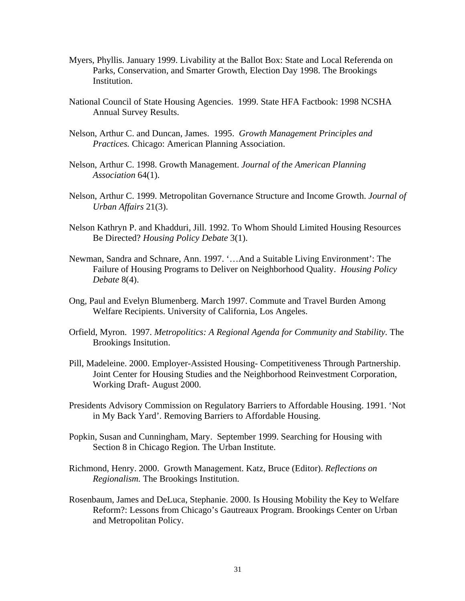- Myers, Phyllis. January 1999. Livability at the Ballot Box: State and Local Referenda on Parks, Conservation, and Smarter Growth, Election Day 1998. The Brookings Institution.
- National Council of State Housing Agencies. 1999. State HFA Factbook: 1998 NCSHA Annual Survey Results.
- Nelson, Arthur C. and Duncan, James. 1995. *Growth Management Principles and Practices.* Chicago: American Planning Association.
- Nelson, Arthur C. 1998. Growth Management. *Journal of the American Planning Association* 64(1).
- Nelson, Arthur C. 1999. Metropolitan Governance Structure and Income Growth. *Journal of Urban Affairs* 21(3).
- Nelson Kathryn P. and Khadduri, Jill. 1992. To Whom Should Limited Housing Resources Be Directed? *Housing Policy Debate* 3(1).
- Newman, Sandra and Schnare, Ann. 1997. '…And a Suitable Living Environment': The Failure of Housing Programs to Deliver on Neighborhood Quality. *Housing Policy Debate* 8(4).
- Ong, Paul and Evelyn Blumenberg. March 1997. Commute and Travel Burden Among Welfare Recipients. University of California, Los Angeles.
- Orfield, Myron. 1997. *Metropolitics: A Regional Agenda for Community and Stability.* The Brookings Insitution.
- Pill, Madeleine. 2000. Employer-Assisted Housing- Competitiveness Through Partnership. Joint Center for Housing Studies and the Neighborhood Reinvestment Corporation, Working Draft- August 2000.
- Presidents Advisory Commission on Regulatory Barriers to Affordable Housing. 1991. 'Not in My Back Yard'. Removing Barriers to Affordable Housing.
- Popkin, Susan and Cunningham, Mary. September 1999. Searching for Housing with Section 8 in Chicago Region. The Urban Institute.
- Richmond, Henry. 2000. Growth Management. Katz, Bruce (Editor). *Reflections on Regionalism.* The Brookings Institution.
- Rosenbaum, James and DeLuca, Stephanie. 2000. Is Housing Mobility the Key to Welfare Reform?: Lessons from Chicago's Gautreaux Program. Brookings Center on Urban and Metropolitan Policy.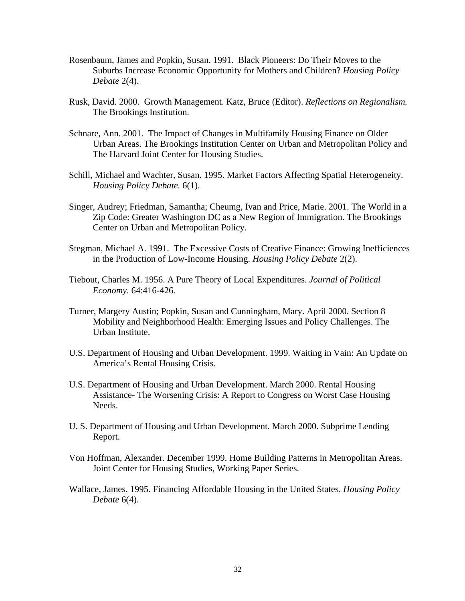- Rosenbaum, James and Popkin, Susan. 1991. Black Pioneers: Do Their Moves to the Suburbs Increase Economic Opportunity for Mothers and Children? *Housing Policy Debate* 2(4).
- Rusk, David. 2000. Growth Management. Katz, Bruce (Editor). *Reflections on Regionalism.* The Brookings Institution.
- Schnare, Ann. 2001. The Impact of Changes in Multifamily Housing Finance on Older Urban Areas. The Brookings Institution Center on Urban and Metropolitan Policy and The Harvard Joint Center for Housing Studies.
- Schill, Michael and Wachter, Susan. 1995. Market Factors Affecting Spatial Heterogeneity. *Housing Policy Debate.* 6(1).
- Singer, Audrey; Friedman, Samantha; Cheumg, Ivan and Price, Marie. 2001. The World in a Zip Code: Greater Washington DC as a New Region of Immigration. The Brookings Center on Urban and Metropolitan Policy.
- Stegman, Michael A. 1991. The Excessive Costs of Creative Finance: Growing Inefficiences in the Production of Low-Income Housing. *Housing Policy Debate* 2(2).
- Tiebout, Charles M. 1956. A Pure Theory of Local Expenditures. *Journal of Political Economy.* 64:416-426.
- Turner, Margery Austin; Popkin, Susan and Cunningham, Mary. April 2000. Section 8 Mobility and Neighborhood Health: Emerging Issues and Policy Challenges. The Urban Institute.
- U.S. Department of Housing and Urban Development. 1999. Waiting in Vain: An Update on America's Rental Housing Crisis.
- U.S. Department of Housing and Urban Development. March 2000. Rental Housing Assistance- The Worsening Crisis: A Report to Congress on Worst Case Housing Needs.
- U. S. Department of Housing and Urban Development. March 2000. Subprime Lending Report.
- Von Hoffman, Alexander. December 1999. Home Building Patterns in Metropolitan Areas. Joint Center for Housing Studies, Working Paper Series.
- Wallace, James. 1995. Financing Affordable Housing in the United States. *Housing Policy Debate* 6(4).